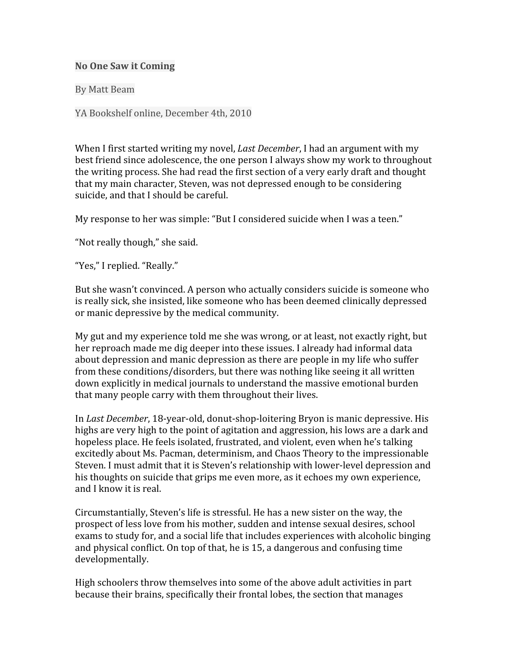## **No
One
Saw
it
Coming**

By
Matt
Beam

YA
Bookshelf
online,
December
4th,
2010

When I first started writing my novel, *Last December*, I had an argument with my best
friend
since
adolescence,
the
one
person
I
always
show
my
work
to
throughout the
writing
process.
She
had
read
the
first
section
of
a
very
early
draft
and
thought that
my
main
character,
Steven,
was
not
depressed
enough
to
be
considering suicide, and that I should be careful.

My response to her was simple: "But I considered suicide when I was a teen."

"Not
really
though,"
she
said.

"Yes,"
I
replied.
"Really."

But she wasn't convinced. A person who actually considers suicide is someone who is
really
sick,
she
insisted,
like
someone
who
has
been
deemed
clinically
depressed or
manic
depressive
by
the
medical
community.

My gut and my experience told me she was wrong, or at least, not exactly right, but her reproach made me dig deeper into these issues. I already had informal data about depression and manic depression as there are people in my life who suffer from
these
conditions/disorders,
but
there
was
nothing
like
seeing
it
all
written down
explicitly
in
medical
journals
to
understand
the
massive
emotional
burden that
many
people
carry
with
them
throughout
their
lives.

In Last December, 18-year-old, donut-shop-loitering Bryon is manic depressive. His highs are very high to the point of agitation and aggression, his lows are a dark and hopeless place. He feels isolated, frustrated, and violent, even when he's talking excitedly about Ms. Pacman, determinism, and Chaos Theory to the impressionable Steven. I must admit that it is Steven's relationship with lower-level depression and his thoughts on suicide that grips me even more, as it echoes my own experience, and
I
know
it
is
real.

Circumstantially, Steven's life is stressful. He has a new sister on the way, the prospect
of
less
love
from
his
mother,
sudden
and
intense
sexual
desires,
school exams to study for, and a social life that includes experiences with alcoholic binging and
physical
conflict.
On
top
of
that,
he
is
15,
a
dangerous
and
confusing
time developmentally.

High schoolers throw themselves into some of the above adult activities in part because
their
brains,
specifically
their
frontal
lobes,
the
section
that
manages